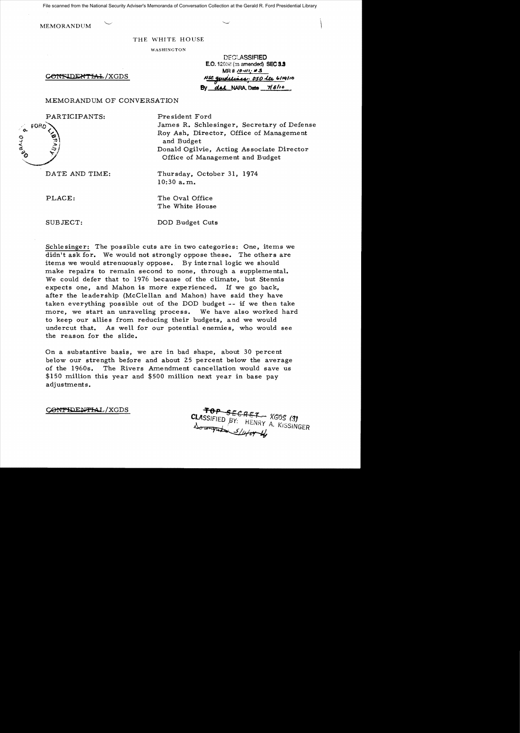File scanned from the National Security Adviser's Memoranda of Conversation Collection at the Gerald R. Ford Presidential Library

<sup>I</sup>MEMORANDUM \

## THE WHITE HOUSE

WASHINGTON

 $C\ell$ ONFIDENTIAL/XGDS

|                               | <b>DECLASSIFIED</b>                    |  |
|-------------------------------|----------------------------------------|--|
|                               | <b>E.O. 12958 (as amended) SEC 3.3</b> |  |
| $MR# 10 - 111.$ #3            |                                        |  |
| Nsc quidelines. 050 la Girono |                                        |  |
|                               | By dal NARA, Date 7/8/10               |  |

## MEMORANDUM OF CONVERSATION

PARTICIPANTS: President Ford

James R. Schlesinger. Secretary of Defense 'Q.. .. fOAD.....~.< Roy Ash. Director. Office of Management o -c, ..J 'N and Budget ..z: :;0. , Donald Ogilvie, Acting Associate Director Office of Management and Budget

DATE AND TIME: Thursday, October 31, 1974 10:30 a. m.

PLACE: The Oval Office The White House

SUBJECT: DOD Budget Cuts

Schlesinger: The possible cuts are in two categories: One, items we didn't ask for. We would not strongly oppose these. The others are items we would strenuously oppose. By internal logic we should make repairs to remain second to none, through a supplemental. We could defer that to 1976 because of the climate, but Stennis expects one, and Mahon is more experienced. If we go back, after the leadership (McClellan and Mahon) have said they have taken everything possible out of the DOD budget -- if we then take more, we start an unraveling process. We have also worked hard to keep our allies from reducing their budgets, and we would undercut that. As well for our potential enemies, who would see the reason for the slide.

On a substantive basis, we are in bad shape, about 30 percent below our strength before and about 25 percent below the average of the 19608. The Rivers Amendment cancellation would save us \$150 million this year and \$500 million next year in base pay adjustments.

CONTHOENTIAL/XGDS

 $CLASSIFIED BY.$   $H_{ENDU}$   $XGDS$  (3)  $\mathcal{F}$ <sup>11</sup> HENRY A. KISSINGER ... $\mathcal{S}/\mathcal{L}$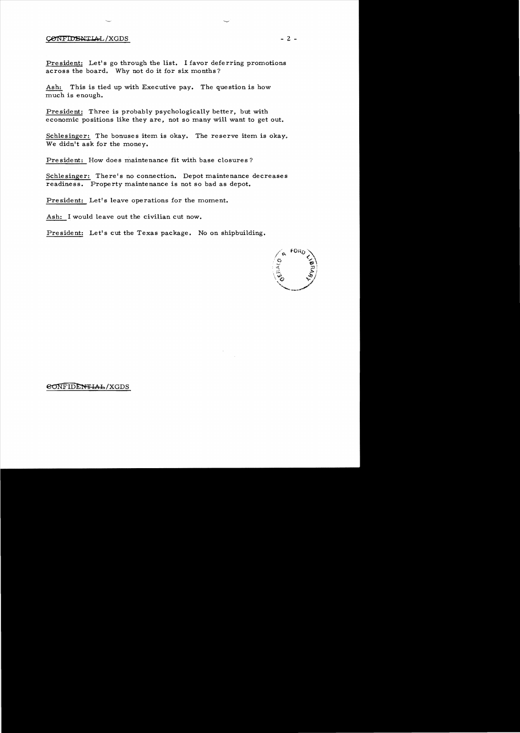## CONFIDENTIAL/XGDS

President: Let's go through the list. I favor deferring promotions across the board. Why not do it for six months?

Ash: This is tied up with Executive pay. The question is how much is enough.

President: Three is probably psychologically better, but with economic positions like they are, not so many will want to get out.

Schlesinger: The bonuses item is okay. The reserve item is okay. We didn't ask for the money.

President: How does maintenance fit with base closures?

Schlesinger: There's no connection. Depot maintenance decreases readiness. Property maintenance is not so bad as depot.

President: Let's leave operations for the moment.

Ash: I would leave out the civilian cut now.

President: Let's cut the Texas package. No on shipbuilding.



 $e$ ONFIDENTIAL/XGDS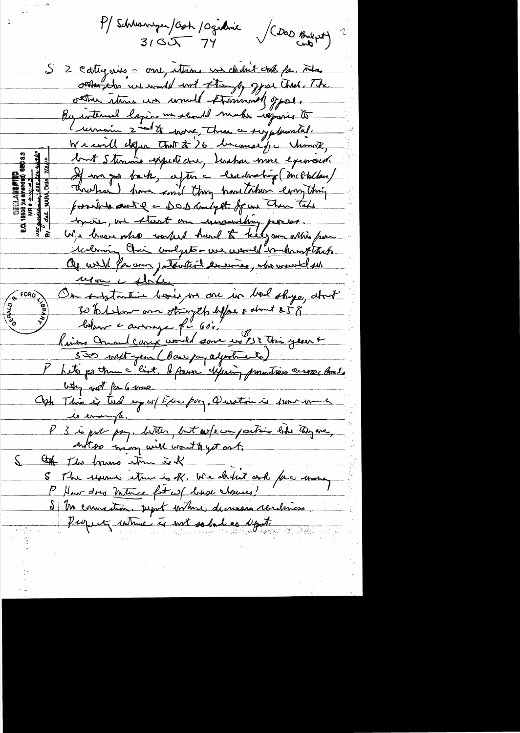P/Schleswigen/Cost / Ogillanic / (DOD Bulget) 2  $310J774$ S 2 cattigures - one, ettens un chant vok fa. Ha sorther the we would work they be goes that . The contrue stares un would promoved offer. By interned legions we should make regaris to (remain 2nd to work, three a suyphuntal. We will defer that & 26 becomes for change, but Stennis expected in Justin more exercise If we go back, after a certainating (mechlan) Threshorn) have cond they have taken everything possible aut e a DOD Malgett. of un Then Take bycone, we start one incondaing porsos. relation their confect - we were deschangthus. repon es fériles On substantive books on one in bod shape, about 30 to 1 show one stringth life & don't s 5 g Lordon causage fr 60's 1957 This year 6  $\omega_{\gamma}$  with for 6 mes. Oph This is tried up w/ the pay. Question is pour men P 3 is put pay. better, but we fe compositoir like they are, not so many will won't get out. the the bound time is of 5 The reserve item is R. We chilit onk for money P How days mutuce for we have chosenes! S Me councilieux pepot within decrease reachiness. Property where is not so bad as upot